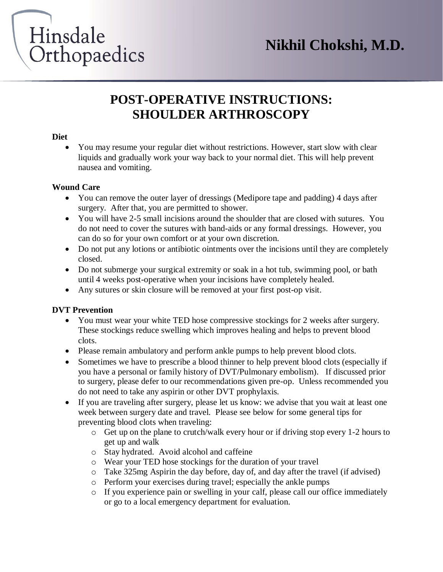

### **POST-OPERATIVE INSTRUCTIONS: SHOULDER ARTHROSCOPY**

#### **Diet**

 You may resume your regular diet without restrictions. However, start slow with clear liquids and gradually work your way back to your normal diet. This will help prevent nausea and vomiting.

#### **Wound Care**

- You can remove the outer layer of dressings (Medipore tape and padding) 4 days after surgery. After that, you are permitted to shower.
- You will have 2-5 small incisions around the shoulder that are closed with sutures. You do not need to cover the sutures with band-aids or any formal dressings. However, you can do so for your own comfort or at your own discretion.
- Do not put any lotions or antibiotic ointments over the incisions until they are completely closed.
- Do not submerge your surgical extremity or soak in a hot tub, swimming pool, or bath until 4 weeks post-operative when your incisions have completely healed.
- Any sutures or skin closure will be removed at your first post-op visit.

#### **DVT Prevention**

- You must wear your white TED hose compressive stockings for 2 weeks after surgery. These stockings reduce swelling which improves healing and helps to prevent blood clots.
- Please remain ambulatory and perform ankle pumps to help prevent blood clots.
- Sometimes we have to prescribe a blood thinner to help prevent blood clots (especially if you have a personal or family history of DVT/Pulmonary embolism). If discussed prior to surgery, please defer to our recommendations given pre-op. Unless recommended you do not need to take any aspirin or other DVT prophylaxis.
- If you are traveling after surgery, please let us know: we advise that you wait at least one week between surgery date and travel. Please see below for some general tips for preventing blood clots when traveling:
	- o Get up on the plane to crutch/walk every hour or if driving stop every 1-2 hours to get up and walk
	- o Stay hydrated. Avoid alcohol and caffeine
	- o Wear your TED hose stockings for the duration of your travel
	- o Take 325mg Aspirin the day before, day of, and day after the travel (if advised)
	- o Perform your exercises during travel; especially the ankle pumps
	- o If you experience pain or swelling in your calf, please call our office immediately or go to a local emergency department for evaluation.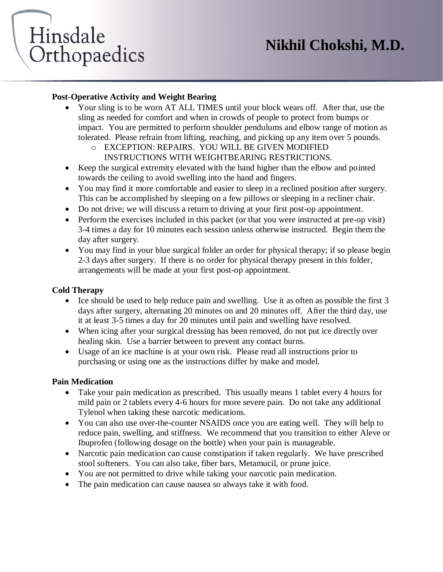# Hinsdale Orthopaedics

#### **Post-Operative Activity and Weight Bearing**

- Your sling is to be worn AT ALL TIMES until your block wears off. After that, use the sling as needed for comfort and when in crowds of people to protect from bumps or impact. You are permitted to perform shoulder pendulums and elbow range of motion as tolerated. Please refrain from lifting, reaching, and picking up any item over 5 pounds.
	- o EXCEPTION: REPAIRS. YOU WILL BE GIVEN MODIFIED INSTRUCTIONS WITH WEIGHTBEARING RESTRICTIONS.
- Keep the surgical extremity elevated with the hand higher than the elbow and pointed towards the ceiling to avoid swelling into the hand and fingers.
- You may find it more comfortable and easier to sleep in a reclined position after surgery. This can be accomplished by sleeping on a few pillows or sleeping in a recliner chair.
- Do not drive; we will discuss a return to driving at your first post-op appointment.
- Perform the exercises included in this packet (or that you were instructed at pre-op visit) 3-4 times a day for 10 minutes each session unless otherwise instructed. Begin them the day after surgery.
- You may find in your blue surgical folder an order for physical therapy; if so please begin 2-3 days after surgery. If there is no order for physical therapy present in this folder, arrangements will be made at your first post-op appointment.

#### **Cold Therapy**

- Ice should be used to help reduce pain and swelling. Use it as often as possible the first 3 days after surgery, alternating 20 minutes on and 20 minutes off. After the third day, use it at least 3-5 times a day for 20 minutes until pain and swelling have resolved.
- When icing after your surgical dressing has been removed, do not put ice directly over healing skin. Use a barrier between to prevent any contact burns.
- Usage of an ice machine is at your own risk. Please read all instructions prior to purchasing or using one as the instructions differ by make and model.

#### **Pain Medication**

- Take your pain medication as prescribed. This usually means 1 tablet every 4 hours for mild pain or 2 tablets every 4-6 hours for more severe pain. Do not take any additional Tylenol when taking these narcotic medications.
- You can also use over-the-counter NSAIDS once you are eating well. They will help to reduce pain, swelling, and stiffness. We recommend that you transition to either Aleve or Ibuprofen (following dosage on the bottle) when your pain is manageable.
- Narcotic pain medication can cause constipation if taken regularly. We have prescribed stool softeners. You can also take, fiber bars, Metamucil, or prune juice.
- You are not permitted to drive while taking your narcotic pain medication.
- The pain medication can cause nausea so always take it with food.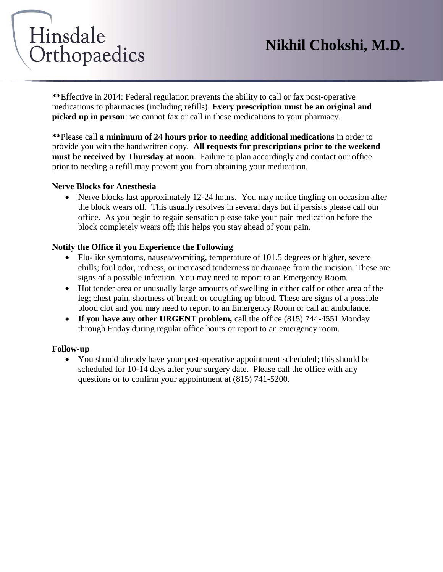## **Nikhil Chokshi, M.D.**

# Hinsdale Orthopaedics

**\*\***Effective in 2014: Federal regulation prevents the ability to call or fax post-operative medications to pharmacies (including refills). **Every prescription must be an original and picked up in person**: we cannot fax or call in these medications to your pharmacy.

**\*\***Please call **a minimum of 24 hours prior to needing additional medications** in order to provide you with the handwritten copy. **All requests for prescriptions prior to the weekend must be received by Thursday at noon**. Failure to plan accordingly and contact our office prior to needing a refill may prevent you from obtaining your medication.

#### **Nerve Blocks for Anesthesia**

• Nerve blocks last approximately 12-24 hours. You may notice tingling on occasion after the block wears off. This usually resolves in several days but if persists please call our office. As you begin to regain sensation please take your pain medication before the block completely wears off; this helps you stay ahead of your pain.

#### **Notify the Office if you Experience the Following**

- Flu-like symptoms, nausea/vomiting, temperature of 101.5 degrees or higher, severe chills; foul odor, redness, or increased tenderness or drainage from the incision. These are signs of a possible infection. You may need to report to an Emergency Room.
- Hot tender area or unusually large amounts of swelling in either calf or other area of the leg; chest pain, shortness of breath or coughing up blood. These are signs of a possible blood clot and you may need to report to an Emergency Room or call an ambulance.
- **If you have any other URGENT problem,** call the office (815) 744-4551 Monday through Friday during regular office hours or report to an emergency room.

#### **Follow-up**

• You should already have your post-operative appointment scheduled; this should be scheduled for 10-14 days after your surgery date. Please call the office with any questions or to confirm your appointment at (815) 741-5200.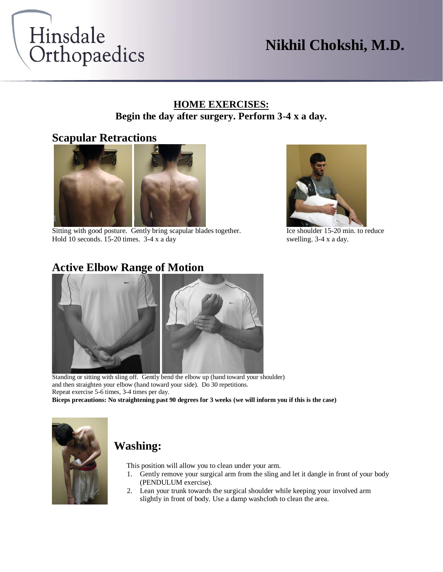

## **Nikhil Chokshi, M.D.**

#### **HOME EXERCISES: Begin the day after surgery. Perform 3-4 x a day.**

#### **Scapular Retractions**



Sitting with good posture. Gently bring scapular blades together. Ice shoulder 15-20 min. to reduce Hold 10 seconds. 15-20 times. 3-4 x a day swelling. 3-4 x a day.



#### **Active Elbow Range of Motion**



Standing or sitting with sling off. Gently bend the elbow up (hand toward your shoulder) and then straighten your elbow (hand toward your side). Do 30 repetitions. Repeat exercise 5-6 times, 3-4 times per day.

**Biceps precautions: No straightening past 90 degrees for 3 weeks (we will inform you if this is the case)**



#### **Washing:**

This position will allow you to clean under your arm.

- 1. Gently remove your surgical arm from the sling and let it dangle in front of your body (PENDULUM exercise).
- 2. Lean your trunk towards the surgical shoulder while keeping your involved arm slightly in front of body. Use a damp washcloth to clean the area.